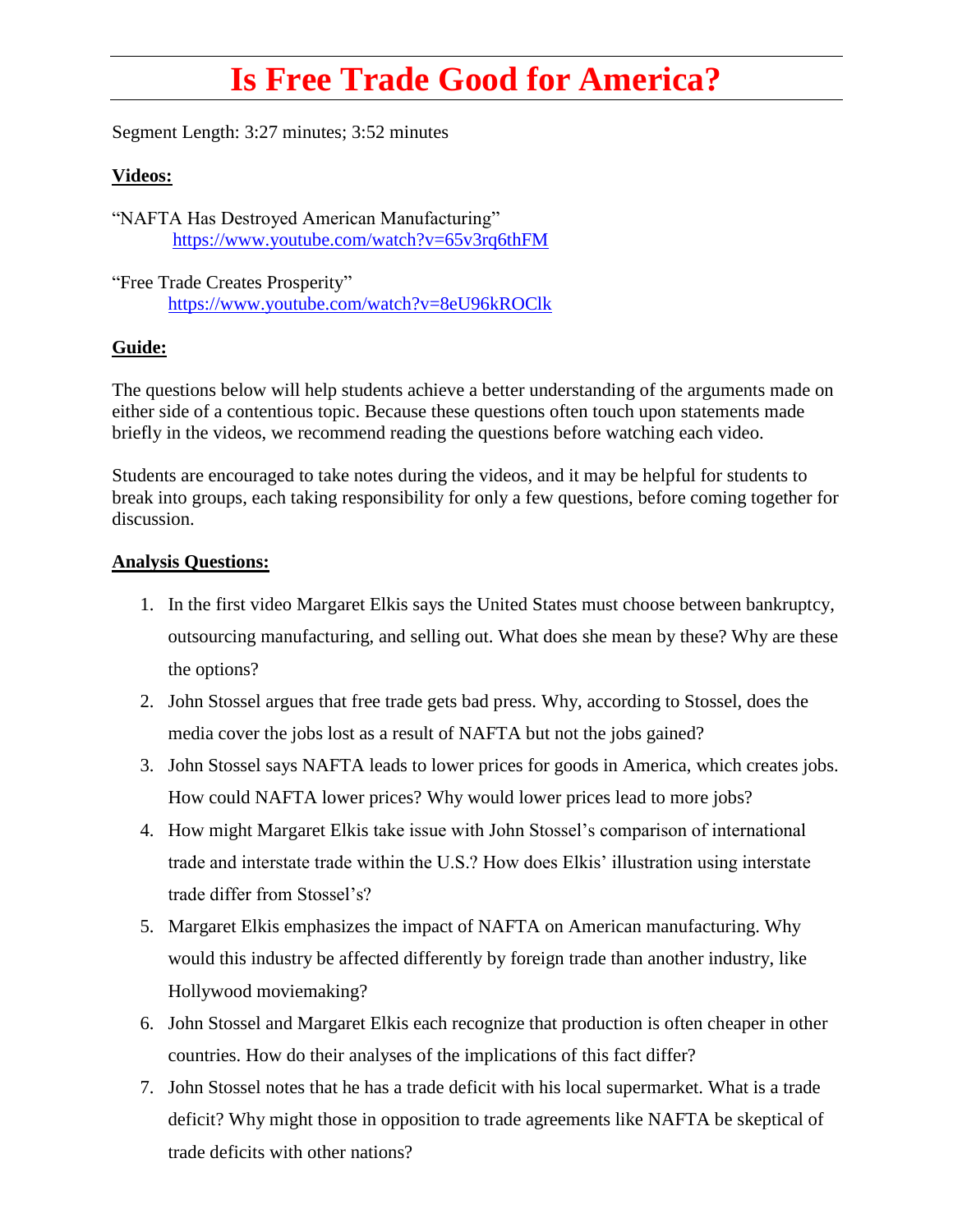## **Is Free Trade Good for America?**

Segment Length: 3:27 minutes; 3:52 minutes

## **Videos:**

"NAFTA Has Destroyed American Manufacturing" <https://www.youtube.com/watch?v=65v3rq6thFM>

"Free Trade Creates Prosperity" <https://www.youtube.com/watch?v=8eU96kROClk>

## **Guide:**

The questions below will help students achieve a better understanding of the arguments made on either side of a contentious topic. Because these questions often touch upon statements made briefly in the videos, we recommend reading the questions before watching each video.

Students are encouraged to take notes during the videos, and it may be helpful for students to break into groups, each taking responsibility for only a few questions, before coming together for discussion.

## **Analysis Questions:**

- 1. In the first video Margaret Elkis says the United States must choose between bankruptcy, outsourcing manufacturing, and selling out. What does she mean by these? Why are these the options?
- 2. John Stossel argues that free trade gets bad press. Why, according to Stossel, does the media cover the jobs lost as a result of NAFTA but not the jobs gained?
- 3. John Stossel says NAFTA leads to lower prices for goods in America, which creates jobs. How could NAFTA lower prices? Why would lower prices lead to more jobs?
- 4. How might Margaret Elkis take issue with John Stossel's comparison of international trade and interstate trade within the U.S.? How does Elkis' illustration using interstate trade differ from Stossel's?
- 5. Margaret Elkis emphasizes the impact of NAFTA on American manufacturing. Why would this industry be affected differently by foreign trade than another industry, like Hollywood moviemaking?
- 6. John Stossel and Margaret Elkis each recognize that production is often cheaper in other countries. How do their analyses of the implications of this fact differ?
- 7. John Stossel notes that he has a trade deficit with his local supermarket. What is a trade deficit? Why might those in opposition to trade agreements like NAFTA be skeptical of trade deficits with other nations?